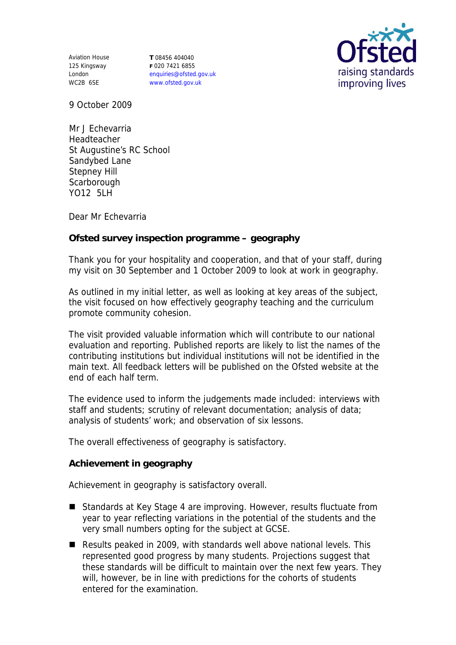Aviation House 125 Kingsway London WC2B 6SE

**T** 08456 404040 **F** 020 7421 6855 enquiries@ofsted.gov.uk www.ofsted.gov.uk



9 October 2009

Mr J Echevarria Headteacher St Augustine's RC School Sandybed Lane Stepney Hill **Scarborough** YO12 5LH

Dear Mr Echevarria

**Ofsted survey inspection programme – geography**

Thank you for your hospitality and cooperation, and that of your staff, during my visit on 30 September and 1 October 2009 to look at work in geography.

As outlined in my initial letter, as well as looking at key areas of the subject, the visit focused on how effectively geography teaching and the curriculum promote community cohesion.

The visit provided valuable information which will contribute to our national evaluation and reporting. Published reports are likely to list the names of the contributing institutions but individual institutions will not be identified in the main text. All feedback letters will be published on the Ofsted website at the end of each half term.

The evidence used to inform the judgements made included: interviews with staff and students; scrutiny of relevant documentation; analysis of data; analysis of students' work; and observation of six lessons.

The overall effectiveness of geography is satisfactory.

**Achievement in geography**

Achievement in geography is satisfactory overall.

- Standards at Key Stage 4 are improving. However, results fluctuate from year to year reflecting variations in the potential of the students and the very small numbers opting for the subject at GCSE.
- Results peaked in 2009, with standards well above national levels. This represented good progress by many students. Projections suggest that these standards will be difficult to maintain over the next few years. They will, however, be in line with predictions for the cohorts of students entered for the examination.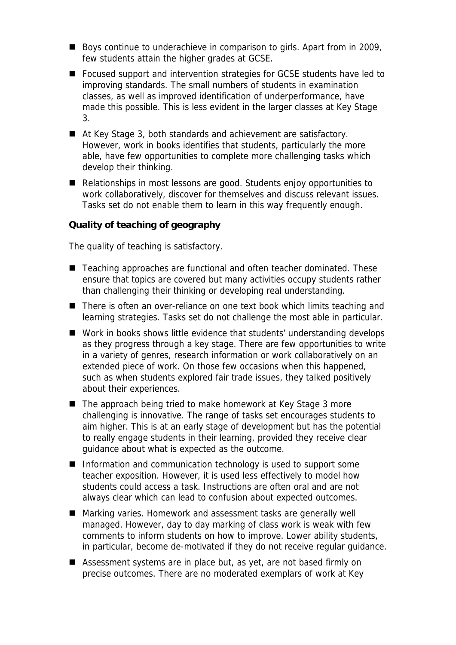- Boys continue to underachieve in comparison to girls. Apart from in 2009, few students attain the higher grades at GCSE.
- Focused support and intervention strategies for GCSE students have led to improving standards. The small numbers of students in examination classes, as well as improved identification of underperformance, have made this possible. This is less evident in the larger classes at Key Stage 3.
- At Key Stage 3, both standards and achievement are satisfactory. However, work in books identifies that students, particularly the more able, have few opportunities to complete more challenging tasks which develop their thinking.
- Relationships in most lessons are good. Students enjoy opportunities to work collaboratively, discover for themselves and discuss relevant issues. Tasks set do not enable them to learn in this way frequently enough.

**Quality of teaching of geography**

The quality of teaching is satisfactory.

- Teaching approaches are functional and often teacher dominated. These ensure that topics are covered but many activities occupy students rather than challenging their thinking or developing real understanding.
- There is often an over-reliance on one text book which limits teaching and learning strategies. Tasks set do not challenge the most able in particular.
- Work in books shows little evidence that students' understanding develops as they progress through a key stage. There are few opportunities to write in a variety of genres, research information or work collaboratively on an extended piece of work. On those few occasions when this happened, such as when students explored fair trade issues, they talked positively about their experiences.
- The approach being tried to make homework at Key Stage 3 more challenging is innovative. The range of tasks set encourages students to aim higher. This is at an early stage of development but has the potential to really engage students in their learning, provided they receive clear guidance about what is expected as the outcome.
- Information and communication technology is used to support some teacher exposition. However, it is used less effectively to model how students could access a task. Instructions are often oral and are not always clear which can lead to confusion about expected outcomes.
- Marking varies. Homework and assessment tasks are generally well managed. However, day to day marking of class work is weak with few comments to inform students on how to improve. Lower ability students, in particular, become de-motivated if they do not receive regular guidance.
- Assessment systems are in place but, as yet, are not based firmly on precise outcomes. There are no moderated exemplars of work at Key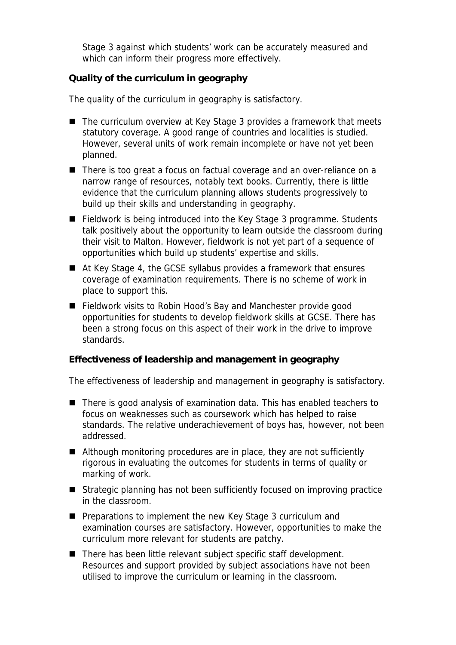Stage 3 against which students' work can be accurately measured and which can inform their progress more effectively.

## **Quality of the curriculum in geography**

The quality of the curriculum in geography is satisfactory.

- The curriculum overview at Key Stage 3 provides a framework that meets statutory coverage. A good range of countries and localities is studied. However, several units of work remain incomplete or have not yet been planned.
- There is too great a focus on factual coverage and an over-reliance on a narrow range of resources, notably text books. Currently, there is little evidence that the curriculum planning allows students progressively to build up their skills and understanding in geography.
- Fieldwork is being introduced into the Key Stage 3 programme. Students talk positively about the opportunity to learn outside the classroom during their visit to Malton. However, fieldwork is not yet part of a sequence of opportunities which build up students' expertise and skills.
- At Key Stage 4, the GCSE syllabus provides a framework that ensures coverage of examination requirements. There is no scheme of work in place to support this.
- Fieldwork visits to Robin Hood's Bay and Manchester provide good opportunities for students to develop fieldwork skills at GCSE. There has been a strong focus on this aspect of their work in the drive to improve standards.

**Effectiveness of leadership and management in geography**

The effectiveness of leadership and management in geography is satisfactory.

- There is good analysis of examination data. This has enabled teachers to focus on weaknesses such as coursework which has helped to raise standards. The relative underachievement of boys has, however, not been addressed.
- Although monitoring procedures are in place, they are not sufficiently rigorous in evaluating the outcomes for students in terms of quality or marking of work.
- Strategic planning has not been sufficiently focused on improving practice in the classroom.
- **Preparations to implement the new Key Stage 3 curriculum and** examination courses are satisfactory. However, opportunities to make the curriculum more relevant for students are patchy.
- There has been little relevant subject specific staff development. Resources and support provided by subject associations have not been utilised to improve the curriculum or learning in the classroom.